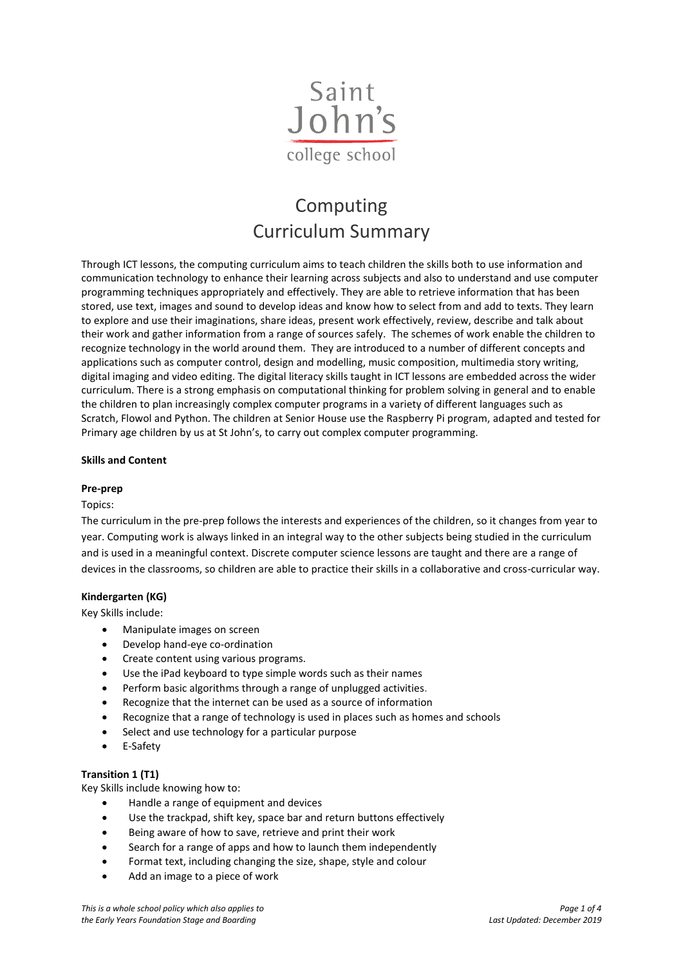

# Computing Curriculum Summary

Through ICT lessons, the computing curriculum aims to teach children the skills both to use information and communication technology to enhance their learning across subjects and also to understand and use computer programming techniques appropriately and effectively. They are able to retrieve information that has been stored, use text, images and sound to develop ideas and know how to select from and add to texts. They learn to explore and use their imaginations, share ideas, present work effectively, review, describe and talk about their work and gather information from a range of sources safely. The schemes of work enable the children to recognize technology in the world around them. They are introduced to a number of different concepts and applications such as computer control, design and modelling, music composition, multimedia story writing, digital imaging and video editing. The digital literacy skills taught in ICT lessons are embedded across the wider curriculum. There is a strong emphasis on computational thinking for problem solving in general and to enable the children to plan increasingly complex computer programs in a variety of different languages such as Scratch, Flowol and Python. The children at Senior House use the Raspberry Pi program, adapted and tested for Primary age children by us at St John's, to carry out complex computer programming.

# **Skills and Content**

## **Pre-prep**

#### Topics:

The curriculum in the pre-prep follows the interests and experiences of the children, so it changes from year to year. Computing work is always linked in an integral way to the other subjects being studied in the curriculum and is used in a meaningful context. Discrete computer science lessons are taught and there are a range of devices in the classrooms, so children are able to practice their skills in a collaborative and cross-curricular way.

# **Kindergarten (KG)**

Key Skills include:

- Manipulate images on screen
- Develop hand-eye co-ordination
- Create content using various programs.
- Use the iPad keyboard to type simple words such as their names
- Perform basic algorithms through a range of unplugged activities.
- Recognize that the internet can be used as a source of information
- Recognize that a range of technology is used in places such as homes and schools
- Select and use technology for a particular purpose
- E-Safety

#### **Transition 1 (T1)**

Key Skills include knowing how to:

- Handle a range of equipment and devices
- Use the trackpad, shift key, space bar and return buttons effectively
- Being aware of how to save, retrieve and print their work
- Search for a range of apps and how to launch them independently
- Format text, including changing the size, shape, style and colour
- Add an image to a piece of work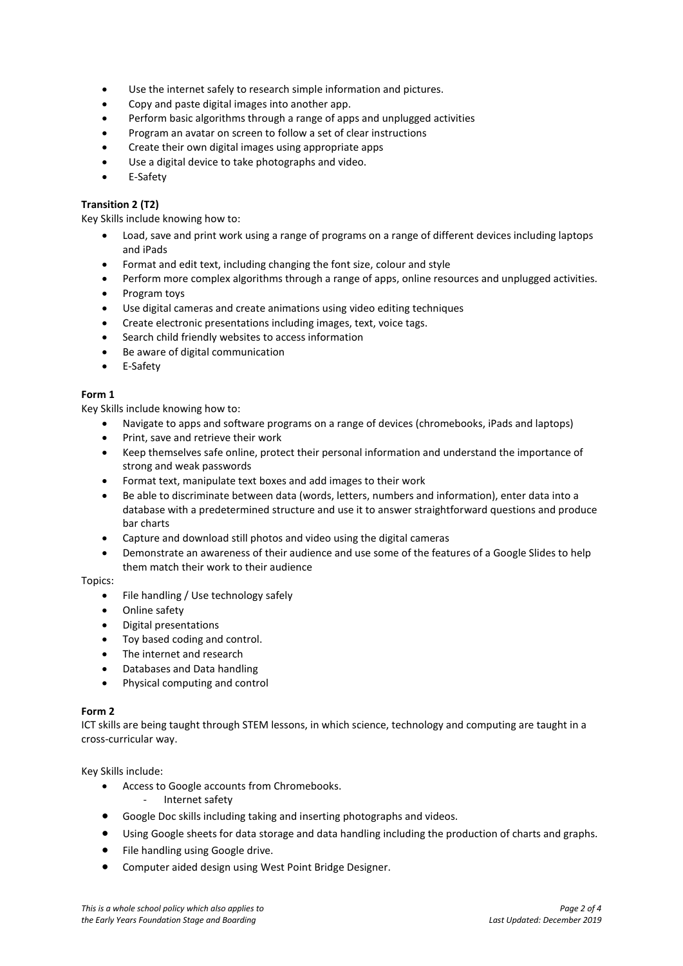- Use the internet safely to research simple information and pictures.
- Copy and paste digital images into another app.
- Perform basic algorithms through a range of apps and unplugged activities
- Program an avatar on screen to follow a set of clear instructions
- Create their own digital images using appropriate apps
- Use a digital device to take photographs and video.
- E-Safety

#### **Transition 2 (T2)**

Key Skills include knowing how to:

- Load, save and print work using a range of programs on a range of different devices including laptops and iPads
- Format and edit text, including changing the font size, colour and style
- Perform more complex algorithms through a range of apps, online resources and unplugged activities.
- Program toys
- Use digital cameras and create animations using video editing techniques
- Create electronic presentations including images, text, voice tags.
- Search child friendly websites to access information
- Be aware of digital communication
- E-Safety

## **Form 1**

Key Skills include knowing how to:

- Navigate to apps and software programs on a range of devices (chromebooks, iPads and laptops)
- Print, save and retrieve their work
- Keep themselves safe online, protect their personal information and understand the importance of strong and weak passwords
- Format text, manipulate text boxes and add images to their work
- Be able to discriminate between data (words, letters, numbers and information), enter data into a database with a predetermined structure and use it to answer straightforward questions and produce bar charts
- Capture and download still photos and video using the digital cameras
- Demonstrate an awareness of their audience and use some of the features of a Google Slides to help them match their work to their audience

Topics:

- File handling / Use technology safely
- Online safety
- Digital presentations
- Toy based coding and control.
- The internet and research
- Databases and Data handling
- Physical computing and control

#### **Form 2**

ICT skills are being taught through STEM lessons, in which science, technology and computing are taught in a cross-curricular way.

Key Skills include:

- Access to Google accounts from Chromebooks.
	- Internet safety
- Google Doc skills including taking and inserting photographs and videos.
- Using Google sheets for data storage and data handling including the production of charts and graphs.
- File handling using Google drive.
- Computer aided design using West Point Bridge Designer.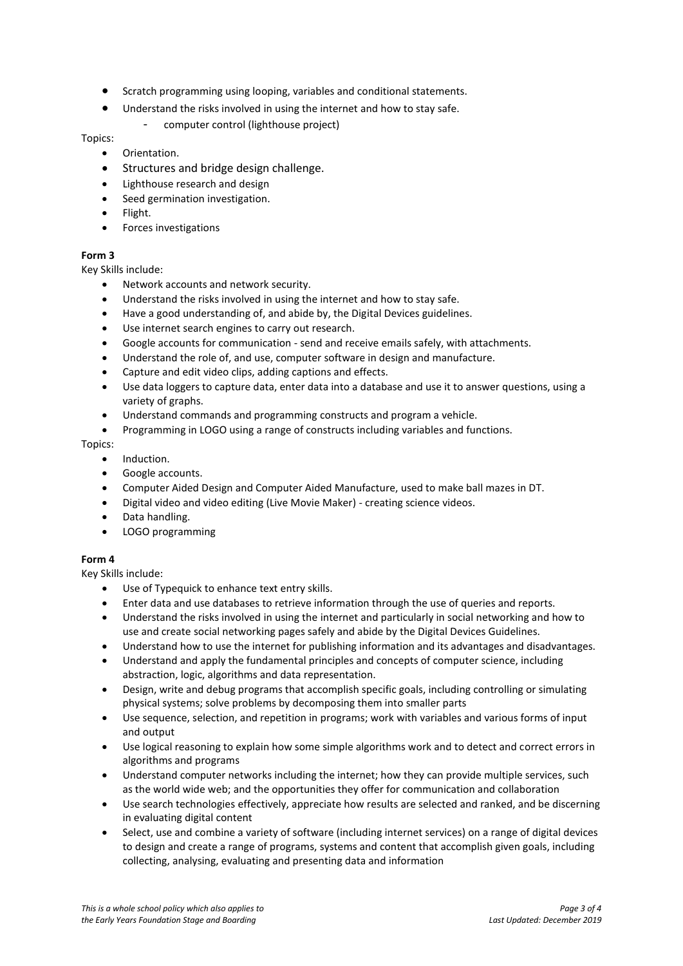- Scratch programming using looping, variables and conditional statements.
- Understand the risks involved in using the internet and how to stay safe.
	- computer control (lighthouse project)

Topics:

- Orientation.
- Structures and bridge design challenge.
- Lighthouse research and design
- Seed germination investigation.
- Flight.
- Forces investigations

# **Form 3**

Key Skills include:

- Network accounts and network security.
- Understand the risks involved in using the internet and how to stay safe.
- Have a good understanding of, and abide by, the Digital Devices guidelines.
- Use internet search engines to carry out research.
- Google accounts for communication send and receive emails safely, with attachments.
- Understand the role of, and use, computer software in design and manufacture.
- Capture and edit video clips, adding captions and effects.
- Use data loggers to capture data, enter data into a database and use it to answer questions, using a variety of graphs.
- Understand commands and programming constructs and program a vehicle.
- Programming in LOGO using a range of constructs including variables and functions.

Topics:

- Induction.
- Google accounts.
- Computer Aided Design and Computer Aided Manufacture, used to make ball mazes in DT.
- Digital video and video editing (Live Movie Maker) creating science videos.
- Data handling.
- LOGO programming

# **Form 4**

Key Skills include:

- Use of Typequick to enhance text entry skills.
- Enter data and use databases to retrieve information through the use of queries and reports.
- Understand the risks involved in using the internet and particularly in social networking and how to use and create social networking pages safely and abide by the Digital Devices Guidelines.
- Understand how to use the internet for publishing information and its advantages and disadvantages.
- Understand and apply the fundamental principles and concepts of computer science, including abstraction, logic, algorithms and data representation.
- Design, write and debug programs that accomplish specific goals, including controlling or simulating physical systems; solve problems by decomposing them into smaller parts
- Use sequence, selection, and repetition in programs; work with variables and various forms of input and output
- Use logical reasoning to explain how some simple algorithms work and to detect and correct errors in algorithms and programs
- Understand computer networks including the internet; how they can provide multiple services, such as the world wide web; and the opportunities they offer for communication and collaboration
- Use search technologies effectively, appreciate how results are selected and ranked, and be discerning in evaluating digital content
- Select, use and combine a variety of software (including internet services) on a range of digital devices to design and create a range of programs, systems and content that accomplish given goals, including collecting, analysing, evaluating and presenting data and information